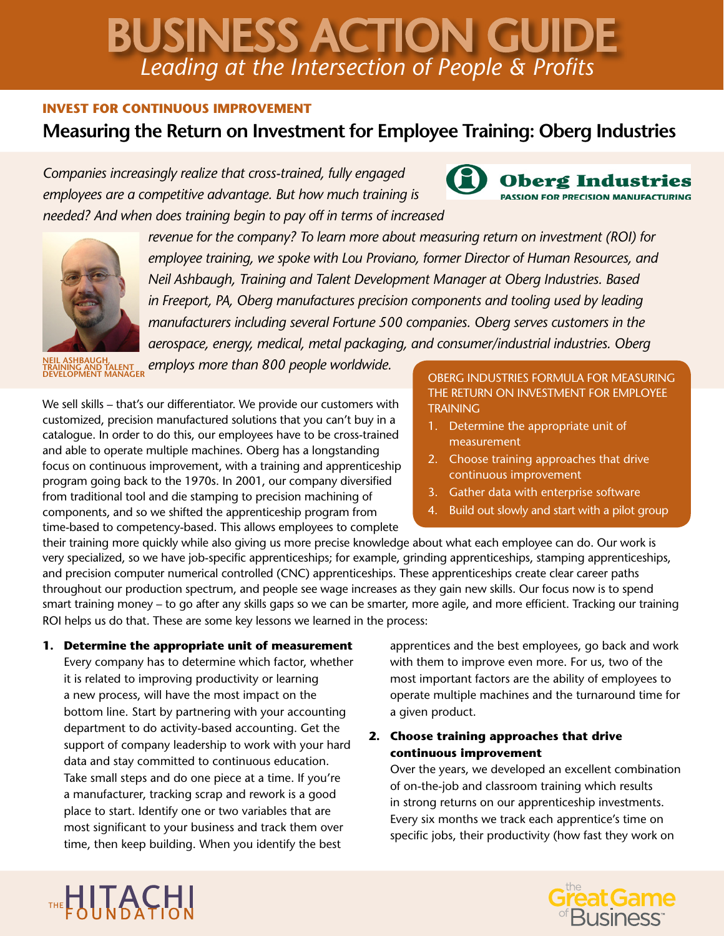# *Leading at the Intersection of People & Profits* BUSINESS ACTION GUIDE

## **INVEST FOR CONTINUOUS IMPROVEMENT**

## **Measuring the Return on Investment for Employee Training: Oberg Industries**

*Companies increasingly realize that cross-trained, fully engaged employees are a competitive advantage. But how much training is needed? And when does training begin to pay off in terms of increased* 



*revenue for the company? To learn more about measuring return on investment (ROI) for employee training, we spoke with Lou Proviano, former Director of Human Resources, and Neil Ashbaugh, Training and Talent Development Manager at Oberg Industries. Based in Freeport, PA, Oberg manufactures precision components and tooling used by leading manufacturers including several Fortune 500 companies. Oberg serves customers in the aerospace, energy, medical, metal packaging, and consumer/industrial industries. Oberg* 

**NEIL ASHBAUGH, TRAINING AND TALENT** 

*employs more than 800 people worldwide.* 

We sell skills – that's our differentiator. We provide our customers with customized, precision manufactured solutions that you can't buy in a catalogue. In order to do this, our employees have to be cross-trained and able to operate multiple machines. Oberg has a longstanding focus on continuous improvement, with a training and apprenticeship program going back to the 1970s. In 2001, our company diversified from traditional tool and die stamping to precision machining of components, and so we shifted the apprenticeship program from time-based to competency-based. This allows employees to complete

**OBERG INDUSTRIES FORMULA FOR MEASURING** THE RETURN ON INVESTMENT FOR EMPLOYEE **TRAINING** 

Oberg Industries **PASSION FOR PRECISION MANUFACTURING** 

- 1. Determine the appropriate unit of measurement
- 2. Choose training approaches that drive continuous improvement
- 3. Gather data with enterprise software
- 4. Build out slowly and start with a pilot group

their training more quickly while also giving us more precise knowledge about what each employee can do. Our work is very specialized, so we have job-specific apprenticeships; for example, grinding apprenticeships, stamping apprenticeships, and precision computer numerical controlled (CNC) apprenticeships. These apprenticeships create clear career paths throughout our production spectrum, and people see wage increases as they gain new skills. Our focus now is to spend smart training money – to go after any skills gaps so we can be smarter, more agile, and more efficient. Tracking our training ROI helps us do that. These are some key lessons we learned in the process:

**1. Determine the appropriate unit of measurement** Every company has to determine which factor, whether it is related to improving productivity or learning a new process, will have the most impact on the bottom line. Start by partnering with your accounting department to do activity-based accounting. Get the support of company leadership to work with your hard data and stay committed to continuous education. Take small steps and do one piece at a time. If you're a manufacturer, tracking scrap and rework is a good place to start. Identify one or two variables that are most significant to your business and track them over time, then keep building. When you identify the best

apprentices and the best employees, go back and work with them to improve even more. For us, two of the most important factors are the ability of employees to operate multiple machines and the turnaround time for a given product.

## **2. Choose training approaches that drive continuous improvement**

Over the years, we developed an excellent combination of on-the-job and classroom training which results in strong returns on our apprenticeship investments. Every six months we track each apprentice's time on specific jobs, their productivity (how fast they work on



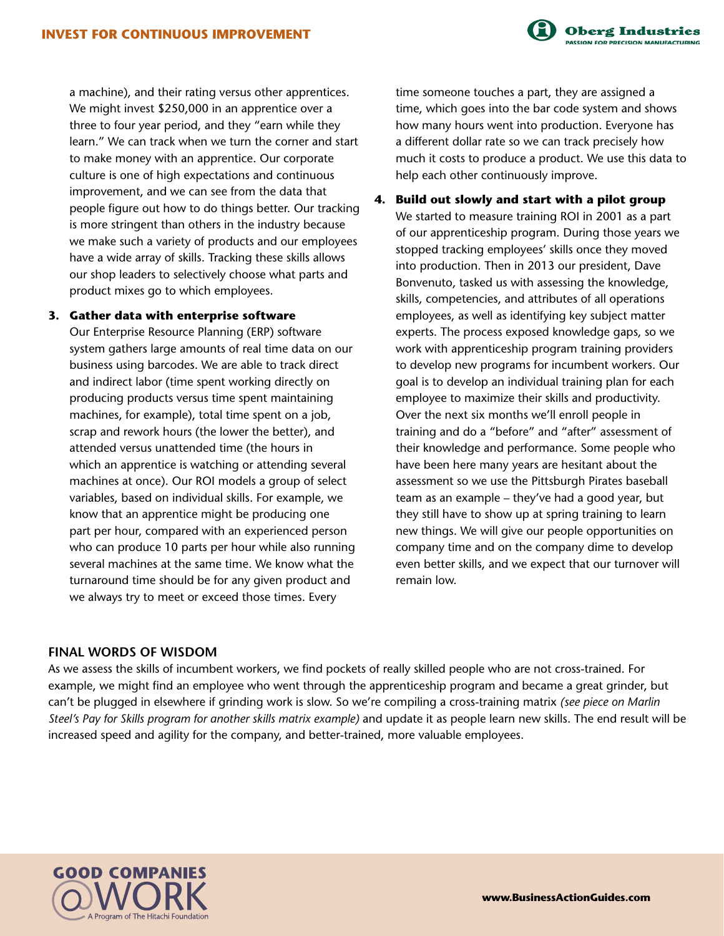a machine), and their rating versus other apprentices. We might invest \$250,000 in an apprentice over a three to four year period, and they "earn while they learn." We can track when we turn the corner and start to make money with an apprentice. Our corporate culture is one of high expectations and continuous improvement, and we can see from the data that people figure out how to do things better. Our tracking is more stringent than others in the industry because we make such a variety of products and our employees have a wide array of skills. Tracking these skills allows our shop leaders to selectively choose what parts and product mixes go to which employees.

#### **3. Gather data with enterprise software**

Our Enterprise Resource Planning (ERP) software system gathers large amounts of real time data on our business using barcodes. We are able to track direct and indirect labor (time spent working directly on producing products versus time spent maintaining machines, for example), total time spent on a job, scrap and rework hours (the lower the better), and attended versus unattended time (the hours in which an apprentice is watching or attending several machines at once). Our ROI models a group of select variables, based on individual skills. For example, we know that an apprentice might be producing one part per hour, compared with an experienced person who can produce 10 parts per hour while also running several machines at the same time. We know what the turnaround time should be for any given product and we always try to meet or exceed those times. Every

time someone touches a part, they are assigned a time, which goes into the bar code system and shows how many hours went into production. Everyone has a different dollar rate so we can track precisely how much it costs to produce a product. We use this data to help each other continuously improve.

**Oberg Industries** ASSION FOR PRECISION MANUFACTURING

## **4. Build out slowly and start with a pilot group** We started to measure training ROI in 2001 as a part of our apprenticeship program. During those years we stopped tracking employees' skills once they moved into production. Then in 2013 our president, Dave Bonvenuto, tasked us with assessing the knowledge, skills, competencies, and attributes of all operations employees, as well as identifying key subject matter experts. The process exposed knowledge gaps, so we work with apprenticeship program training providers to develop new programs for incumbent workers. Our goal is to develop an individual training plan for each employee to maximize their skills and productivity. Over the next six months we'll enroll people in training and do a "before" and "after" assessment of their knowledge and performance. Some people who have been here many years are hesitant about the assessment so we use the Pittsburgh Pirates baseball team as an example – they've had a good year, but they still have to show up at spring training to learn new things. We will give our people opportunities on company time and on the company dime to develop even better skills, and we expect that our turnover will remain low.

### **FINAL WORDS OF WISDOM**

As we assess the skills of incumbent workers, we find pockets of really skilled people who are not cross-trained. For example, we might find an employee who went through the apprenticeship program and became a great grinder, but can't be plugged in elsewhere if grinding work is slow. So we're compiling a cross-training matrix *(see piece on Marlin Steel's Pay for Skills program for another skills matrix example)* and update it as people learn new skills. The end result will be increased speed and agility for the company, and better-trained, more valuable employees.